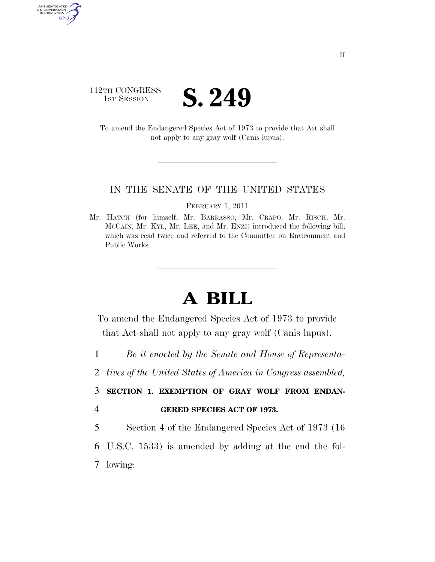## 112TH CONGRESS TH CONGRESS **S. 249**

AUTHENTICATED<br>U.S. GOVERNMENT<br>INFORMATION GPO

> To amend the Endangered Species Act of 1973 to provide that Act shall not apply to any gray wolf (Canis lupus).

## IN THE SENATE OF THE UNITED STATES

FEBRUARY 1, 2011

Mr. HATCH (for himself, Mr. BARRASSO, Mr. CRAPO, Mr. RISCH, Mr. MCCAIN, Mr. KYL, Mr. LEE, and Mr. ENZI) introduced the following bill; which was read twice and referred to the Committee on Environment and Public Works

## **A BILL**

To amend the Endangered Species Act of 1973 to provide that Act shall not apply to any gray wolf (Canis lupus).

- 1 *Be it enacted by the Senate and House of Representa-*
- 2 *tives of the United States of America in Congress assembled,*

3 **SECTION 1. EXEMPTION OF GRAY WOLF FROM ENDAN-**

4 **GERED SPECIES ACT OF 1973.** 

5 Section 4 of the Endangered Species Act of 1973 (16

- 6 U.S.C. 1533) is amended by adding at the end the fol-
- 7 lowing: